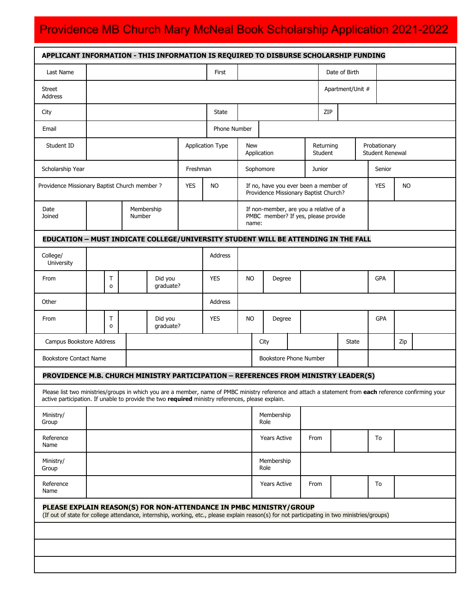# Providence MB Church Mary McNeal Book Scholarship Application 2021-2022

| APPLICANT INFORMATION - THIS INFORMATION IS REQUIRED TO DISBURSE SCHOLARSHIP FUNDING                                                                                                                                                                        |                      |              |  |                      |                         |                                                                                        |           |      |        |               |                         |    |       |                                        |            |     |  |  |
|-------------------------------------------------------------------------------------------------------------------------------------------------------------------------------------------------------------------------------------------------------------|----------------------|--------------|--|----------------------|-------------------------|----------------------------------------------------------------------------------------|-----------|------|--------|---------------|-------------------------|----|-------|----------------------------------------|------------|-----|--|--|
| Last Name                                                                                                                                                                                                                                                   |                      |              |  |                      | First                   |                                                                                        |           |      |        | Date of Birth |                         |    |       |                                        |            |     |  |  |
| Street<br>Address                                                                                                                                                                                                                                           |                      |              |  |                      |                         |                                                                                        |           |      |        |               | Apartment/Unit #        |    |       |                                        |            |     |  |  |
| City                                                                                                                                                                                                                                                        |                      |              |  |                      | State                   |                                                                                        |           |      |        |               | ZIP                     |    |       |                                        |            |     |  |  |
| Email                                                                                                                                                                                                                                                       |                      |              |  |                      | Phone Number            |                                                                                        |           |      |        |               |                         |    |       |                                        |            |     |  |  |
| Student ID                                                                                                                                                                                                                                                  |                      |              |  |                      | <b>Application Type</b> | <b>New</b><br>Application                                                              |           |      |        |               | Returning<br>Student    |    |       | Probationary<br><b>Student Renewal</b> |            |     |  |  |
| Scholarship Year                                                                                                                                                                                                                                            |                      |              |  | Freshman             |                         |                                                                                        | Sophomore |      |        |               | Junior                  |    |       | Senior                                 |            |     |  |  |
| Providence Missionary Baptist Church member ?                                                                                                                                                                                                               |                      |              |  | <b>YES</b>           | <b>NO</b>               | If no, have you ever been a member of<br>Providence Missionary Baptist Church?         |           |      |        |               | <b>YES</b><br><b>NO</b> |    |       |                                        |            |     |  |  |
| Date<br>Joined                                                                                                                                                                                                                                              | Membership<br>Number |              |  |                      |                         | If non-member, are you a relative of a<br>PMBC member? If yes, please provide<br>name: |           |      |        |               |                         |    |       |                                        |            |     |  |  |
| EDUCATION - MUST INDICATE COLLEGE/UNIVERSITY STUDENT WILL BE ATTENDING IN THE FALL                                                                                                                                                                          |                      |              |  |                      |                         |                                                                                        |           |      |        |               |                         |    |       |                                        |            |     |  |  |
| College/<br>University                                                                                                                                                                                                                                      |                      |              |  |                      |                         | Address                                                                                |           |      |        |               |                         |    |       |                                        |            |     |  |  |
| From                                                                                                                                                                                                                                                        |                      | Τ<br>$\circ$ |  | Did you<br>graduate? |                         | <b>YES</b>                                                                             | <b>NO</b> |      | Degree |               |                         |    |       |                                        | <b>GPA</b> |     |  |  |
| Other                                                                                                                                                                                                                                                       |                      |              |  |                      |                         | Address                                                                                |           |      |        |               |                         |    |       |                                        |            |     |  |  |
| From                                                                                                                                                                                                                                                        |                      | T<br>$\circ$ |  | Did you<br>graduate? |                         | <b>YES</b>                                                                             | <b>NO</b> |      | Degree |               |                         |    |       |                                        | GPA        |     |  |  |
| Campus Bookstore Address                                                                                                                                                                                                                                    |                      |              |  |                      |                         |                                                                                        | City      |      |        |               |                         |    | State |                                        |            | Zip |  |  |
| <b>Bookstore Contact Name</b>                                                                                                                                                                                                                               |                      |              |  |                      |                         | <b>Bookstore Phone Number</b>                                                          |           |      |        |               |                         |    |       |                                        |            |     |  |  |
| PROVIDENCE M.B. CHURCH MINISTRY PARTICIPATION - REFERENCES FROM MINISTRY LEADER(S)                                                                                                                                                                          |                      |              |  |                      |                         |                                                                                        |           |      |        |               |                         |    |       |                                        |            |     |  |  |
| Please list two ministries/groups in which you are a member, name of PMBC ministry reference and attach a statement from each reference confirming your<br>active participation. If unable to provide the two required ministry references, please explain. |                      |              |  |                      |                         |                                                                                        |           |      |        |               |                         |    |       |                                        |            |     |  |  |
| Ministry/<br>Group                                                                                                                                                                                                                                          |                      |              |  |                      | Membership<br>Role      |                                                                                        |           |      |        |               |                         |    |       |                                        |            |     |  |  |
| Reference<br>Name                                                                                                                                                                                                                                           |                      |              |  |                      |                         | <b>Years Active</b>                                                                    |           | From |        |               |                         | To |       |                                        |            |     |  |  |
| Ministry/<br>Group                                                                                                                                                                                                                                          |                      |              |  |                      |                         | Membership<br>Role                                                                     |           |      |        |               |                         |    |       |                                        |            |     |  |  |
| Reference<br>Name                                                                                                                                                                                                                                           |                      |              |  |                      |                         | <b>Years Active</b>                                                                    |           | From |        |               |                         | To |       |                                        |            |     |  |  |
| PLEASE EXPLAIN REASON(S) FOR NON-ATTENDANCE IN PMBC MINISTRY/GROUP<br>(If out of state for college attendance, internship, working, etc., please explain reason(s) for not participating in two ministries/groups)                                          |                      |              |  |                      |                         |                                                                                        |           |      |        |               |                         |    |       |                                        |            |     |  |  |
|                                                                                                                                                                                                                                                             |                      |              |  |                      |                         |                                                                                        |           |      |        |               |                         |    |       |                                        |            |     |  |  |
|                                                                                                                                                                                                                                                             |                      |              |  |                      |                         |                                                                                        |           |      |        |               |                         |    |       |                                        |            |     |  |  |
|                                                                                                                                                                                                                                                             |                      |              |  |                      |                         |                                                                                        |           |      |        |               |                         |    |       |                                        |            |     |  |  |